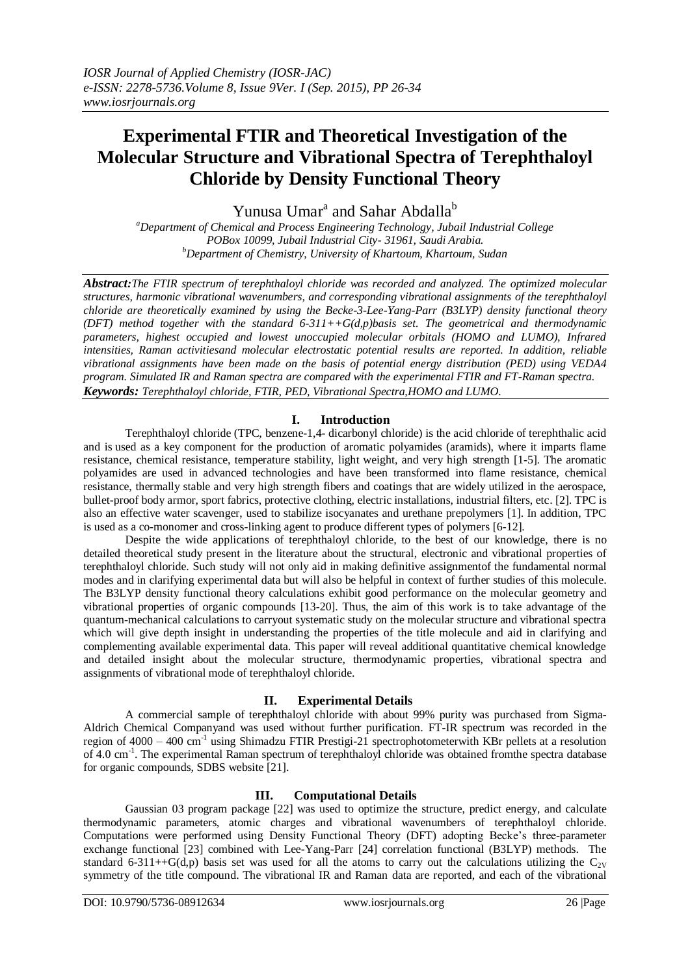# **Experimental FTIR and Theoretical Investigation of the Molecular Structure and Vibrational Spectra of Terephthaloyl Chloride by Density Functional Theory**

Yunusa Umar<sup>a</sup> and Sahar Abdalla<sup>b</sup>

*<sup>a</sup>Department of Chemical and Process Engineering Technology, Jubail Industrial College POBox 10099, Jubail Industrial City- 31961, Saudi Arabia. <sup>b</sup>Department of Chemistry, University of Khartoum, Khartoum, Sudan*

*Abstract:The FTIR spectrum of terephthaloyl chloride was recorded and analyzed. The optimized molecular structures, harmonic vibrational wavenumbers, and corresponding vibrational assignments of the terephthaloyl chloride are theoretically examined by using the Becke-3-Lee-Yang-Parr (B3LYP) density functional theory (DFT) method together with the standard 6-311++G(d,p)basis set. The geometrical and thermodynamic parameters, highest occupied and lowest unoccupied molecular orbitals (HOMO and LUMO), Infrared intensities, Raman activitiesand molecular electrostatic potential results are reported. In addition, reliable vibrational assignments have been made on the basis of potential energy distribution (PED) using VEDA4 program. Simulated IR and Raman spectra are compared with the experimental FTIR and FT-Raman spectra. Keywords: Terephthaloyl chloride, FTIR, PED, Vibrational Spectra,HOMO and LUMO.*

### **I. Introduction**

Terephthaloyl chloride (TPC, benzene-1,4- dicarbonyl chloride) is the acid chloride of terephthalic acid and is used as a key component for the production of aromatic polyamides (aramids), where it imparts flame resistance, chemical resistance, temperature stability, light weight, and very high strength [1-5]. The aromatic polyamides are used in advanced technologies and have been transformed into flame resistance, chemical resistance, thermally stable and very high strength fibers and coatings that are widely utilized in the aerospace, bullet-proof body armor, sport fabrics, protective clothing, electric installations, industrial filters, etc. [2]. TPC is also an effective water scavenger, used to stabilize isocyanates and urethane prepolymers [1]. In addition, TPC is used as a co-monomer and cross-linking agent to produce different types of polymers [6-12].

Despite the wide applications of terephthaloyl chloride, to the best of our knowledge, there is no detailed theoretical study present in the literature about the structural, electronic and vibrational properties of terephthaloyl chloride. Such study will not only aid in making definitive assignmentof the fundamental normal modes and in clarifying experimental data but will also be helpful in context of further studies of this molecule. The B3LYP density functional theory calculations exhibit good performance on the molecular geometry and vibrational properties of organic compounds [13-20]. Thus, the aim of this work is to take advantage of the quantum-mechanical calculations to carryout systematic study on the molecular structure and vibrational spectra which will give depth insight in understanding the properties of the title molecule and aid in clarifying and complementing available experimental data. This paper will reveal additional quantitative chemical knowledge and detailed insight about the molecular structure, thermodynamic properties, vibrational spectra and assignments of vibrational mode of terephthaloyl chloride.

### **II. Experimental Details**

A commercial sample of terephthaloyl chloride with about 99% purity was purchased from Sigma-Aldrich Chemical Companyand was used without further purification. FT-IR spectrum was recorded in the region of  $4000 - 400$  cm<sup>-1</sup> using Shimadzu FTIR Prestigi-21 spectrophotometerwith KBr pellets at a resolution of 4.0 cm<sup>-1</sup>. The experimental Raman spectrum of terephthaloyl chloride was obtained fromthe spectra database for organic compounds, SDBS website [21].

## **III. Computational Details**

Gaussian 03 program package [22] was used to optimize the structure, predict energy, and calculate thermodynamic parameters, atomic charges and vibrational wavenumbers of terephthaloyl chloride. Computations were performed using Density Functional Theory (DFT) adopting Becke's three-parameter exchange functional [23] combined with Lee-Yang-Parr [24] correlation functional (B3LYP) methods. The standard 6-311++G(d,p) basis set was used for all the atoms to carry out the calculations utilizing the  $C_{2V}$ symmetry of the title compound. The vibrational IR and Raman data are reported, and each of the vibrational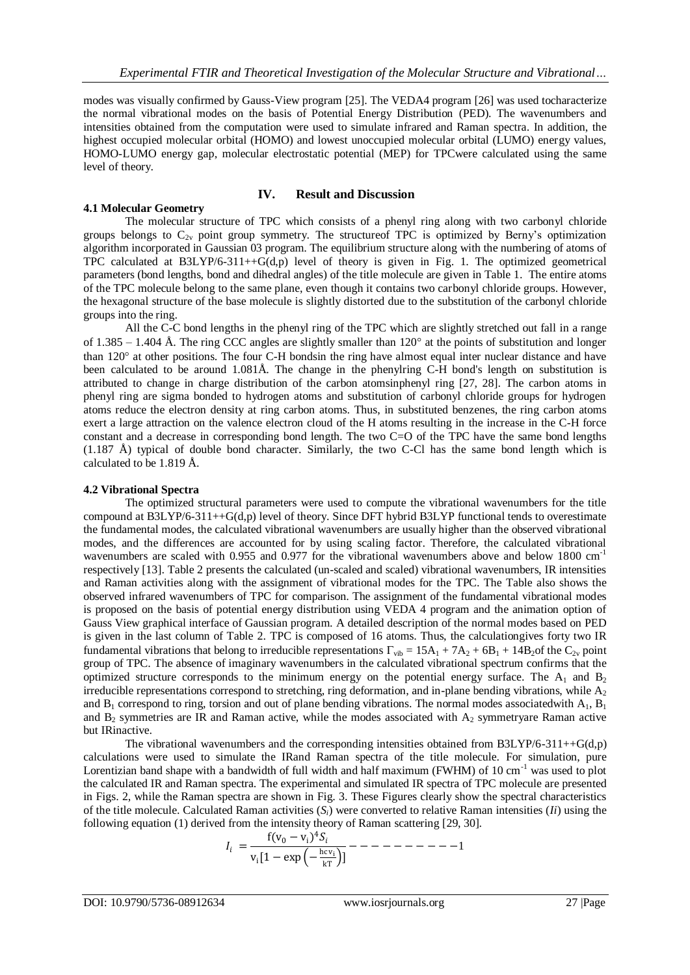modes was visually confirmed by Gauss-View program [25]. The VEDA4 program [26] was used tocharacterize the normal vibrational modes on the basis of Potential Energy Distribution (PED). The wavenumbers and intensities obtained from the computation were used to simulate infrared and Raman spectra. In addition, the highest occupied molecular orbital (HOMO) and lowest unoccupied molecular orbital (LUMO) energy values, HOMO-LUMO energy gap, molecular electrostatic potential (MEP) for TPCwere calculated using the same level of theory.

#### **IV. Result and Discussion**

**4.1 Molecular Geometry** The molecular structure of TPC which consists of a phenyl ring along with two carbonyl chloride groups belongs to  $C_{2v}$  point group symmetry. The structure of TPC is optimized by Berny's optimization algorithm incorporated in Gaussian 03 program. The equilibrium structure along with the numbering of atoms of TPC calculated at  $B3LYP/6-311++G(d,p)$  level of theory is given in Fig. 1. The optimized geometrical parameters (bond lengths, bond and dihedral angles) of the title molecule are given in Table 1. The entire atoms of the TPC molecule belong to the same plane, even though it contains two carbonyl chloride groups. However,

groups into the ring. All the C-C bond lengths in the phenyl ring of the TPC which are slightly stretched out fall in a range of 1.385 – 1.404 Å. The ring CCC angles are slightly smaller than  $120^{\circ}$  at the points of substitution and longer than 120° at other positions. The four C-H bondsin the ring have almost equal inter nuclear distance and have been calculated to be around 1.081Å. The change in the phenylring C-H bond's length on substitution is attributed to change in charge distribution of the carbon atomsinphenyl ring [27, 28]. The carbon atoms in phenyl ring are sigma bonded to hydrogen atoms and substitution of carbonyl chloride groups for hydrogen atoms reduce the electron density at ring carbon atoms. Thus, in substituted benzenes, the ring carbon atoms exert a large attraction on the valence electron cloud of the H atoms resulting in the increase in the C-H force constant and a decrease in corresponding bond length. The two C=O of the TPC have the same bond lengths (1.187 Å) typical of double bond character. Similarly, the two C-Cl has the same bond length which is calculated to be 1.819 Å.

the hexagonal structure of the base molecule is slightly distorted due to the substitution of the carbonyl chloride

#### **4.2 Vibrational Spectra**

The optimized structural parameters were used to compute the vibrational wavenumbers for the title compound at B3LYP/6-311++G(d,p) level of theory. Since DFT hybrid B3LYP functional tends to overestimate the fundamental modes, the calculated vibrational wavenumbers are usually higher than the observed vibrational modes, and the differences are accounted for by using scaling factor. Therefore, the calculated vibrational wavenumbers are scaled with 0.955 and 0.977 for the vibrational wavenumbers above and below 1800 cm<sup>-1</sup> respectively [13]. Table 2 presents the calculated (un-scaled and scaled) vibrational wavenumbers, IR intensities and Raman activities along with the assignment of vibrational modes for the TPC. The Table also shows the observed infrared wavenumbers of TPC for comparison. The assignment of the fundamental vibrational modes is proposed on the basis of potential energy distribution using VEDA 4 program and the animation option of Gauss View graphical interface of Gaussian program. A detailed description of the normal modes based on PED is given in the last column of Table 2. TPC is composed of 16 atoms. Thus, the calculationgives forty two IR fundamental vibrations that belong to irreducible representations  $\Gamma_{\text{vib}} = 15A_1 + 7A_2 + 6B_1 + 14B_2$ of the  $C_{2v}$  point group of TPC. The absence of imaginary wavenumbers in the calculated vibrational spectrum confirms that the optimized structure corresponds to the minimum energy on the potential energy surface. The  $A_1$  and  $B_2$ irreducible representations correspond to stretching, ring deformation, and in-plane bending vibrations, while  $A_2$ and  $B_1$  correspond to ring, torsion and out of plane bending vibrations. The normal modes associated with  $A_1$ ,  $B_1$ and  $B_2$  symmetries are IR and Raman active, while the modes associated with  $A_2$  symmetryare Raman active but IRinactive.

The vibrational wavenumbers and the corresponding intensities obtained from B3LYP/6-311++G(d,p) calculations were used to simulate the IRand Raman spectra of the title molecule. For simulation, pure Lorentizian band shape with a bandwidth of full width and half maximum (FWHM) of  $10 \text{ cm}^{-1}$  was used to plot the calculated IR and Raman spectra. The experimental and simulated IR spectra of TPC molecule are presented in Figs. 2, while the Raman spectra are shown in Fig. 3. These Figures clearly show the spectral characteristics of the title molecule. Calculated Raman activities  $(S_i)$  were converted to relative Raman intensities  $(Ii)$  using the following equation (1) derived from the intensity theory of Raman scattering [29, 30].

 = f(v<sup>0</sup> − v<sup>i</sup> ) 4 vi [1 − exp − hc vi kT ] − − − − − − − − − −1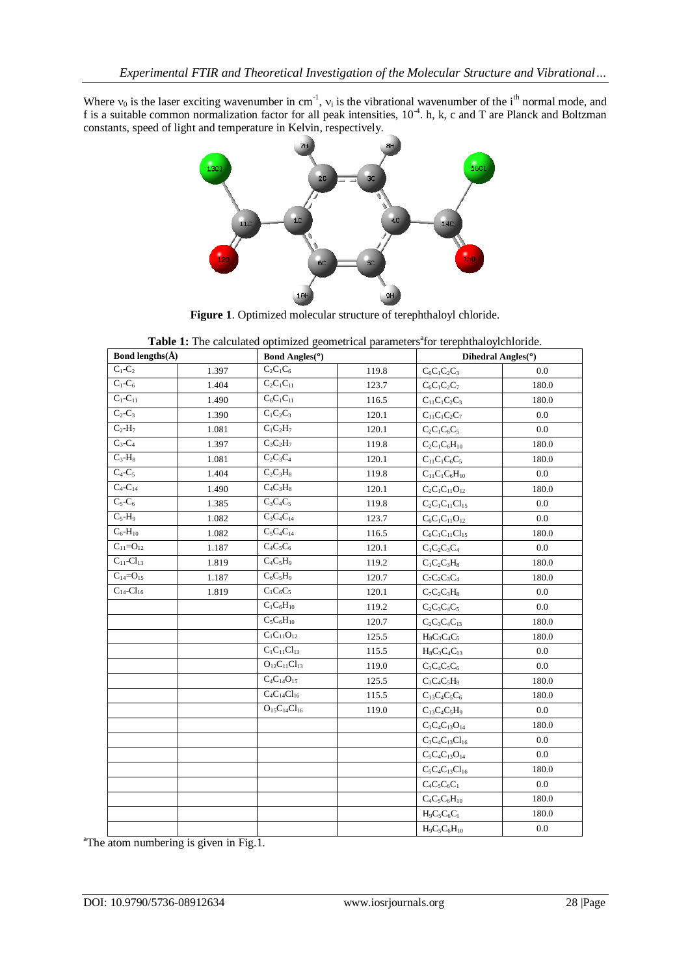Where  $v_0$  is the laser exciting wavenumber in cm<sup>-1</sup>,  $v_i$  is the vibrational wavenumber of the i<sup>th</sup> normal mode, and f is a suitable common normalization factor for all peak intensities,  $10^{-4}$ . h, k, c and T are Planck and Boltzman constants, speed of light and temperature in Kelvin, respectively.



**Figure 1**. Optimized molecular structure of terephthaloyl chloride.

|  |  | Table 1: The calculated optimized geometrical parameters <sup>ª</sup> for terephthaloylchloride. |
|--|--|--------------------------------------------------------------------------------------------------|
|--|--|--------------------------------------------------------------------------------------------------|

| Bond lengths( $\AA$ ) |       | Bond Angles(°)                                         |       |                                                    | Dihedral Angles(°) |  |
|-----------------------|-------|--------------------------------------------------------|-------|----------------------------------------------------|--------------------|--|
| $C_1$ - $C_2$         | 1.397 | $C_2C_1C_6$                                            | 119.8 | $C_6C_1C_2C_3$                                     | 0.0                |  |
| $C_1-C_6$             | 1.404 | $C_2C_1C_{11}$                                         | 123.7 | $C_6C_1C_2C_7$                                     | 180.0              |  |
| $C_1 - C_{11}$        | 1.490 | $C_6C_1C_{11}$                                         | 116.5 | $\mathrm{C}_1\mathrm{C}_1\mathrm{C}_2\mathrm{C}_3$ | 180.0              |  |
| $C_2-C_3$             | 1.390 | $C_1C_2C_3$                                            | 120.1 | $C_{11}C_1C_2C_7$                                  | 0.0                |  |
| $C_2-H_7$             | 1.081 | $\overline{C_1C_2H_7}$                                 | 120.1 | $C_2C_1C_6C_5$                                     | 0.0                |  |
| $C_3-C_4$             | 1.397 | $C_3C_2H_7$                                            | 119.8 | $C_2C_1C_6H_{10}$                                  | 180.0              |  |
| $C_3-H_8$             | 1.081 | $C_2C_3C_4$                                            | 120.1 | $\mathrm{C}_1\mathrm{C}_1\mathrm{C}_6\mathrm{C}_5$ | 180.0              |  |
| $C_4-C_5$             | 1.404 | $C_2C_3H_8$                                            | 119.8 | $C_{11}C_1C_6H_{10}$                               | 0.0                |  |
| $C_4 - C_{14}$        | 1.490 | $C_4C_3H_8$                                            | 120.1 | $C_2C_1C_{11}O_{12}$                               | 180.0              |  |
| $C_5-C_6$             | 1.385 | $C_3C_4C_5$                                            | 119.8 | $C_2C_1C_{11}Cl_{15}$                              | 0.0                |  |
| $C_5-H_9$             | 1.082 | $\overline{C_3C_4C_{14}}$                              | 123.7 | $C_6C_1C_{11}O_{12}$                               | 0.0                |  |
| $C_6$ - $H_{10}$      | 1.082 | $C_5C_4C_{14}$                                         | 116.5 | $C_6C_1C_{11}Cl_{15}$                              | 180.0              |  |
| $C_{11}=O_{12}$       | 1.187 | $C_4C_5C_6$                                            | 120.1 | $C_1C_2C_3C_4$                                     | 0.0                |  |
| $C_{11}$ - $Cl_{13}$  | 1.819 | $C_4C_5H_9$                                            | 119.2 | $C_1C_2C_3H_8$                                     | 180.0              |  |
| $C_{14} = O_{15}$     | 1.187 | $C_6C_5H_9$                                            | 120.7 | $C_7C_2C_3C_4$                                     | 180.0              |  |
| $C_{14}$ - $Cl_{16}$  | 1.819 | $C_1C_6C_5$                                            | 120.1 | $C_7C_2C_3H_8$                                     | 0.0                |  |
|                       |       | $\overline{C_1C_6}H_{10}$                              | 119.2 | $C_2C_3C_4C_5$                                     | 0.0                |  |
|                       |       | $C_5C_6H_{10}$                                         | 120.7 | $C_2C_3C_4C_{13}$                                  | 180.0              |  |
|                       |       | $\overline{C_1C_{11}O_{12}}$                           | 125.5 | $H_8C_3C_4C_5$                                     | 180.0              |  |
|                       |       | $\mathrm{C}_1\mathrm{C}_{11}\mathrm{C}\mathrm{l}_{13}$ | 115.5 | $H_8C_3C_4C_{13}$                                  | 0.0                |  |
|                       |       | $O_{12}C_{11}Cl_{13}$                                  | 119.0 | $C_3C_4C_5C_6$                                     | 0.0                |  |
|                       |       | $C_4C_{14}O_{15}$                                      | 125.5 | $C_3C_4C_5H_9$                                     | 180.0              |  |
|                       |       | $C_4C_{14}Cl_{16}$                                     | 115.5 | $C_{13}C_{4}C_{5}C_{6}$                            | 180.0              |  |
|                       |       | $O_{15}C_{14}Cl_{16}$                                  | 119.0 | $C_{13}C_{4}C_{5}H_{9}$                            | 0.0                |  |
|                       |       |                                                        |       | $C_3C_4C_{13}O_{14}$                               | 180.0              |  |
|                       |       |                                                        |       | $C_3C_4C_{13}Cl_{16}$                              | 0.0                |  |
|                       |       |                                                        |       | $C_5C_4C_{13}O_{14}$                               | 0.0                |  |
|                       |       |                                                        |       | $C_5C_4C_{13}Cl_{16}$                              | 180.0              |  |
|                       |       |                                                        |       | $C_4C_5C_6C_1$                                     | 0.0                |  |
|                       |       |                                                        |       | $C_4C_5C_6H_{10}$                                  | 180.0              |  |
|                       |       |                                                        |       | $H_9C_5C_6C_1$                                     | 180.0              |  |
|                       |       |                                                        |       | $H_9C_5C_6H_{10}$                                  | 0.0                |  |

<sup>a</sup>The atom numbering is given in Fig.1.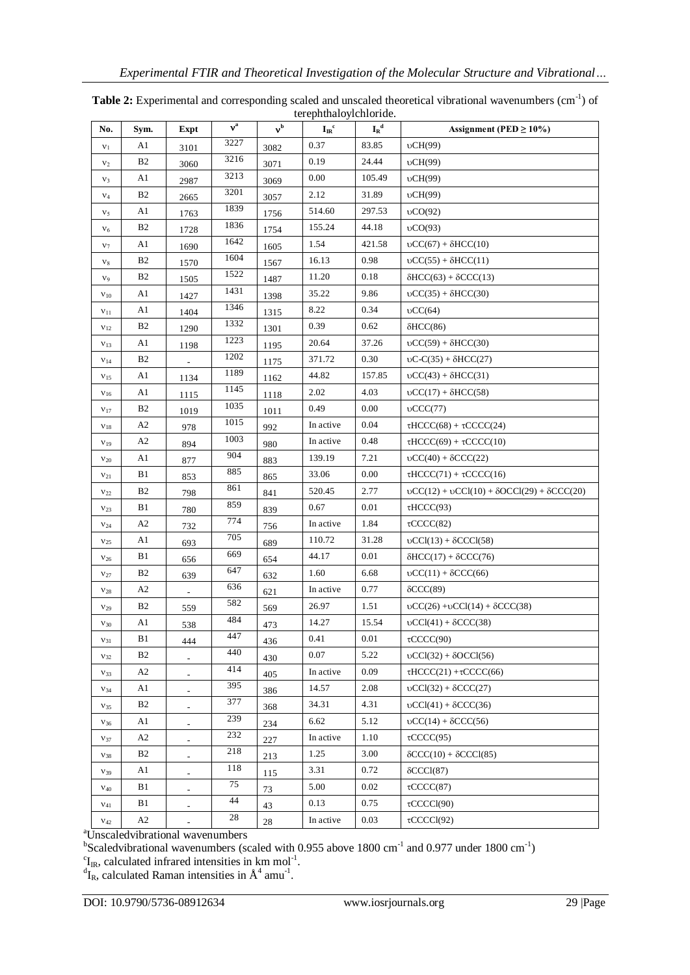| No.             | Sym.           | Expt                     | $v^a$ | v <sup>b</sup> | $I_{IR}$ <sup>c</sup> | ${{\bf I}_{\bf R}}^{\bf d}$ | Assignment (PED $\geq$ 10%)                                                                 |
|-----------------|----------------|--------------------------|-------|----------------|-----------------------|-----------------------------|---------------------------------------------------------------------------------------------|
| $v_1$           | A1             | 3101                     | 3227  | 3082           | 0.37                  | 83.85                       | vCH(99)                                                                                     |
| $v_2$           | <b>B2</b>      | 3060                     | 3216  | 3071           | 0.19                  | 24.44                       | vCH(99)                                                                                     |
| $V_3$           | A1             | 2987                     | 3213  | 3069           | 0.00                  | 105.49                      | vCH(99)                                                                                     |
| $V_4$           | B2             | 2665                     | 3201  | 3057           | 2.12                  | 31.89                       | vCH(99)                                                                                     |
| v <sub>5</sub>  | A1             | 1763                     | 1839  | 1756           | 514.60                | 297.53                      | $\mathrm{vCO}(92)$                                                                          |
| $V_6$           | <b>B2</b>      | 1728                     | 1836  | 1754           | 155.24                | 44.18                       | $\mathrm{vCO}(93)$                                                                          |
| V <sub>7</sub>  | A1             | 1690                     | 1642  | 1605           | 1.54                  | 421.58                      | $\mathrm{bCC}(67) + \delta\mathrm{HCC}(10)$                                                 |
| $v_8$           | B <sub>2</sub> | 1570                     | 1604  | 1567           | 16.13                 | 0.98                        | $\mathrm{bCC}(55) + \delta\mathrm{HCC}(11)$                                                 |
| V9              | B <sub>2</sub> | 1505                     | 1522  | 1487           | 11.20                 | 0.18                        | $\delta$ HCC(63) + $\delta$ CCC(13)                                                         |
| $V_{10}$        | A1             | 1427                     | 1431  | 1398           | 35.22                 | 9.86                        | $\mathrm{bCC}(35) + \delta\mathrm{HCC}(30)$                                                 |
| $v_{11}$        | A1             | 1404                     | 1346  | 1315           | 8.22                  | 0.34                        | $\mathrm{vCC}(64)$                                                                          |
| $V_{12}$        | B <sub>2</sub> | 1290                     | 1332  | 1301           | 0.39                  | 0.62                        | $\delta$ HCC $(86)$                                                                         |
| $V_{13}$        | A1             | 1198                     | 1223  | 1195           | 20.64                 | 37.26                       | $\mathrm{bCC}(59) + \delta\mathrm{HCC}(30)$                                                 |
| $V_{14}$        | <b>B2</b>      |                          | 1202  | 1175           | 371.72                | 0.30                        | $\mathrm{bC-C}(35) + \delta\mathrm{HCC}(27)$                                                |
| V <sub>15</sub> | A1             | 1134                     | 1189  | 1162           | 44.82                 | 157.85                      | $\mathrm{bCC}(43) + \delta\mathrm{HCC}(31)$                                                 |
| V <sub>16</sub> | A1             | 1115                     | 1145  | 1118           | 2.02                  | 4.03                        | $\mathrm{bCC}(17) + \delta\mathrm{HCC}(58)$                                                 |
| $V_{17}$        | <b>B2</b>      | 1019                     | 1035  | 1011           | 0.49                  | 0.00                        | $\mathrm{vCCC}(77)$                                                                         |
| $V_{18}$        | A2             | 978                      | 1015  | 992            | In active             | 0.04                        | $\tau$ HCCC(68) + $\tau$ CCCC(24)                                                           |
| $V_{19}$        | A2             | 894                      | 1003  | 980            | In active             | 0.48                        | $\tau$ HCCC(69) + $\tau$ CCCC(10)                                                           |
| $V_{20}$        | A1             | 877                      | 904   | 883            | 139.19                | 7.21                        | $\mathrm{OCC}(40) + \mathrm{OCCC}(22)$                                                      |
| $V_{21}$        | B1             | 853                      | 885   | 865            | 33.06                 | 0.00                        | $\tau HCCC(71) + \tau CCCC(16)$                                                             |
| $V_{22}$        | <b>B2</b>      | 798                      | 861   | 841            | 520.45                | 2.77                        | $\mathrm{vCC}(12) + \mathrm{vCC}1(10) + \delta \mathrm{OCC}1(29) + \delta \mathrm{CCC}(20)$ |
| $V_{23}$        | B1             | 780                      | 859   | 839            | 0.67                  | 0.01                        | $\tau$ HCCC(93)                                                                             |
| $V_{24}$        | A2             | 732                      | 774   | 756            | In active             | 1.84                        | $\tau$ CCCC(82)                                                                             |
| $V_{25}$        | A1             | 693                      | 705   | 689            | 110.72                | 31.28                       | $\mathrm{bCCl}(13) + \delta\mathrm{CCCl}(58)$                                               |
| $V_{26}$        | B1             | 656                      | 669   | 654            | 44.17                 | 0.01                        | $\delta$ HCC(17) + $\delta$ CCC(76)                                                         |
| $V_{27}$        | B <sub>2</sub> | 639                      | 647   | 632            | 1.60                  | 6.68                        | $\mathrm{vCC}(11) + \mathrm{SCCC}(66)$                                                      |
| $V_{28}$        | A2             |                          | 636   | 621            | In active             | 0.77                        | $\delta$ CCC(89)                                                                            |
| V <sub>29</sub> | B <sub>2</sub> | 559                      | 582   | 569            | 26.97                 | 1.51                        | $\mathrm{OCC}(26) + \mathrm{OCCI}(14) + \mathrm{OCCC}(38)$                                  |
| $V_{30}$        | A1             | 538                      | 484   | 473            | 14.27                 | 15.54                       | $\mathrm{vCCl}(41) + \delta\mathrm{CCC}(38)$                                                |
| $V_{31}$        | B1             | 444                      | 447   | 436            | 0.41                  | 0.01                        | $\tau CCCC(90)$                                                                             |
| $V_{32}$        | B <sub>2</sub> |                          | 440   | 430            | 0.07                  | 5.22                        | $\text{UCCI}(32) + \text{OCCI}(56)$                                                         |
| $V_{33}$        | A2             | $\overline{a}$           | 414   | 405            | In active             | 0.09                        | $\tau HCCC(21) + \tau CCCC(66)$                                                             |
| V <sub>34</sub> | A1             |                          | 395   | 386            | 14.57                 | 2.08                        | $\mathrm{bCCl}(32) + \delta\mathrm{CCC}(27)$                                                |
| $V_{35}$        | B <sub>2</sub> | $\overline{\phantom{a}}$ | 377   | 368            | 34.31                 | 4.31                        | $\mathrm{UCCI}(41) + \delta\mathrm{CCC}(36)$                                                |
| $V_{36}$        | A1             | $\overline{\phantom{0}}$ | 239   | 234            | 6.62                  | 5.12                        | $\mathrm{vCC}(14) + \mathrm{SCCC}(56)$                                                      |
| V <sub>37</sub> | A2             |                          | 232   | 227            | In active             | 1.10                        | $\tau$ CCCC(95)                                                                             |
| $V_{38}$        | B <sub>2</sub> | $\overline{\phantom{a}}$ | 218   | 213            | 1.25                  | 3.00                        | $\delta CCC(10) + \delta CCC1(85)$                                                          |
| $V_{39}$        | A1             | $\blacksquare$           | 118   | 115            | 3.31                  | 0.72                        | $\delta CCCl(87)$                                                                           |
| $V_{40}$        | B1             |                          | 75    | 73             | 5.00                  | 0.02                        | $\tau CCCC(87)$                                                                             |
| $V_{41}$        | B1             | $\overline{a}$           | 44    | 43             | 0.13                  | 0.75                        | $\tau$ CCCCl(90)                                                                            |
| $V_{42}$        | A2             | $\overline{\phantom{a}}$ | 28    | 28             | In active             | 0.03                        | $\tau$ CCCCl(92)                                                                            |

Table 2: Experimental and corresponding scaled and unscaled theoretical vibrational wavenumbers (cm<sup>-1</sup>) of terephthaloylchloride.

<sup>a</sup>Unscaledvibrational wavenumbers

<sup>b</sup>Scaledvibrational wavenumbers (scaled with 0.955 above 1800 cm<sup>-1</sup> and 0.977 under 1800 cm<sup>-1</sup>)<br><sup>c</sup>I<sub>R</sub>, calculated infrared intensities in km mol<sup>-1</sup>.<br><sup>d</sup>I<sub>R</sub>, calculated Raman intensities in Å<sup>4</sup> amu<sup>-1</sup>.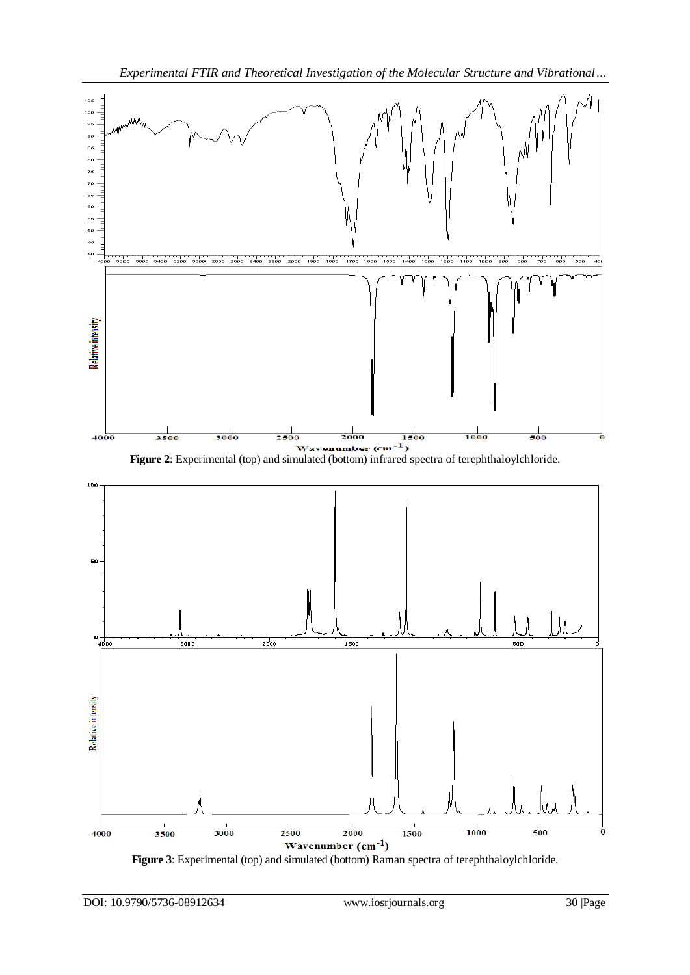

**Figure 3**: Experimental (top) and simulated (bottom) Raman spectra of terephthaloylchloride.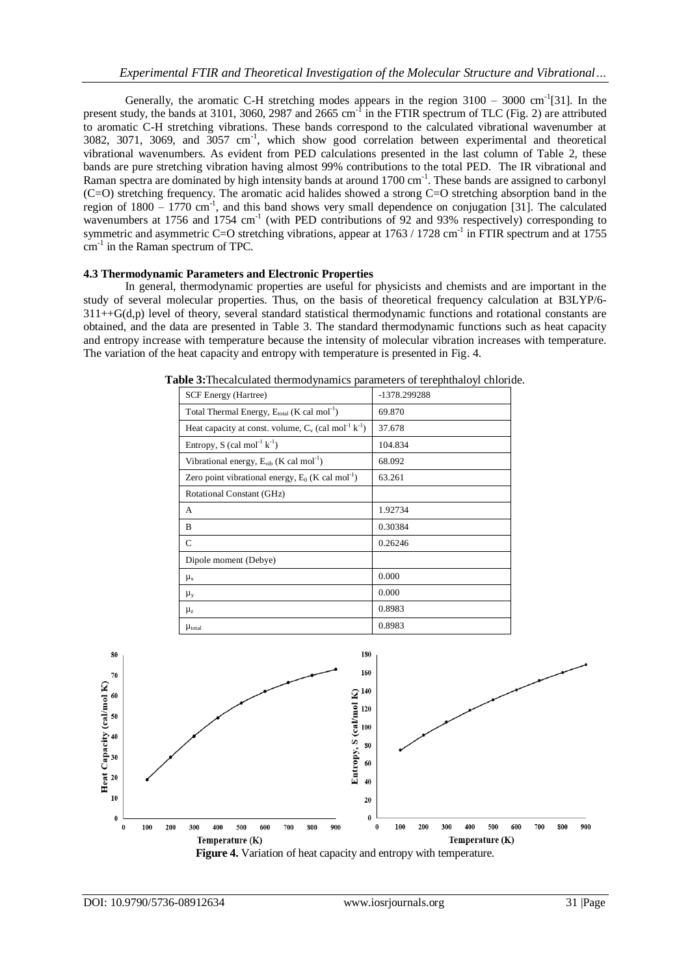Generally, the aromatic C-H stretching modes appears in the region  $3100 - 3000$  cm<sup>-1</sup>[31]. In the present study, the bands at 3101, 3060, 2987 and 2665 cm<sup>-1</sup> in the FTIR spectrum of TLC (Fig. 2) are attributed to aromatic C-H stretching vibrations. These bands correspond to the calculated vibrational wavenumber at 3082, 3071, 3069, and 3057 cm<sup>-1</sup>, which show good correlation between experimental and theoretical vibrational wavenumbers. As evident from PED calculations presented in the last column of Table 2, these bands are pure stretching vibration having almost 99% contributions to the total PED. The IR vibrational and Raman spectra are dominated by high intensity bands at around 1700 cm<sup>-1</sup>. These bands are assigned to carbonyl (C=O) stretching frequency. The aromatic acid halides showed a strong C=O stretching absorption band in the region of  $1800 - 1770$  cm<sup>-1</sup>, and this band shows very small dependence on conjugation [31]. The calculated wavenumbers at 1756 and 1754 cm<sup>-1</sup> (with PED contributions of 92 and 93% respectively) corresponding to symmetric and asymmetric C=O stretching vibrations, appear at 1763 / 1728 cm<sup>-1</sup> in FTIR spectrum and at 1755 cm<sup>-1</sup> in the Raman spectrum of TPC.

#### **4.3 Thermodynamic Parameters and Electronic Properties**

In general, thermodynamic properties are useful for physicists and chemists and are important in the study of several molecular properties. Thus, on the basis of theoretical frequency calculation at B3LYP/6-  $311++G(d,p)$  level of theory, several standard statistical thermodynamic functions and rotational constants are obtained, and the data are presented in Table 3. The standard thermodynamic functions such as heat capacity and entropy increase with temperature because the intensity of molecular vibration increases with temperature. The variation of the heat capacity and entropy with temperature is presented in Fig. 4.



**Table 3:**Thecalculated thermodynamics parameters of terephthaloyl chloride.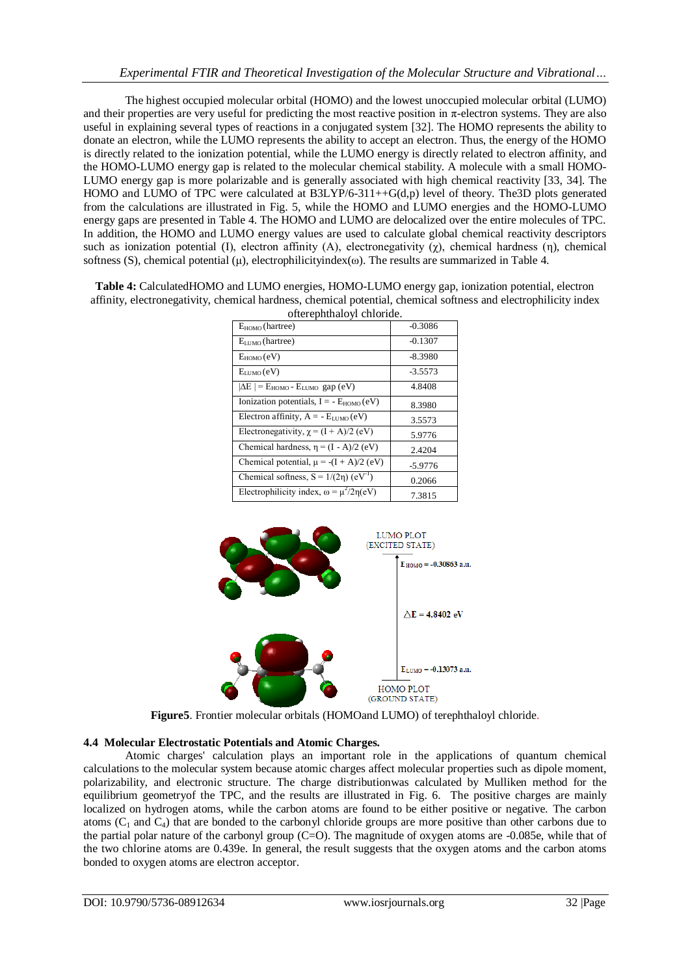The highest occupied molecular orbital (HOMO) and the lowest unoccupied molecular orbital (LUMO) and their properties are very useful for predicting the most reactive position in π-electron systems. They are also useful in explaining several types of reactions in a conjugated system [32]. The HOMO represents the ability to donate an electron, while the LUMO represents the ability to accept an electron. Thus, the energy of the HOMO is directly related to the ionization potential, while the LUMO energy is directly related to electron affinity, and the HOMO-LUMO energy gap is related to the molecular chemical stability. A molecule with a small HOMO-LUMO energy gap is more polarizable and is generally associated with high chemical reactivity [33, 34]. The HOMO and LUMO of TPC were calculated at B3LYP/6-311++G(d,p) level of theory. The3D plots generated from the calculations are illustrated in Fig. 5, while the HOMO and LUMO energies and the HOMO-LUMO energy gaps are presented in Table 4. The HOMO and LUMO are delocalized over the entire molecules of TPC. In addition, the HOMO and LUMO energy values are used to calculate global chemical reactivity descriptors such as ionization potential (I), electron affinity (A), electronegativity ( $\gamma$ ), chemical hardness (η), chemical softness (S), chemical potential  $(\mu)$ , electrophilicityindex( $\omega$ ). The results are summarized in Table 4.

| Table 4: CalculatedHOMO and LUMO energies, HOMO-LUMO energy gap, ionization potential, electron                  |
|------------------------------------------------------------------------------------------------------------------|
| affinity, electronegativity, chemical hardness, chemical potential, chemical softness and electrophilicity index |
|                                                                                                                  |

| onerephinaloyi chioride.                                      |           |  |  |  |
|---------------------------------------------------------------|-----------|--|--|--|
| $E_{HOMO}$ (hartree)                                          | $-0.3086$ |  |  |  |
| $E_{LUMO}$ (hartree)                                          | $-0.1307$ |  |  |  |
| $E_{HOMO}(eV)$                                                | $-8.3980$ |  |  |  |
| $E_{LUMO}(eV)$                                                | $-3.5573$ |  |  |  |
| $ \Delta E $ = E <sub>HOMO</sub> - E <sub>LUMO</sub> gap (eV) | 4.8408    |  |  |  |
| Ionization potentials, $I = -E_{HOMO}(eV)$                    | 8.3980    |  |  |  |
| Electron affinity, $A = -E_{LUMO}(eV)$                        | 3.5573    |  |  |  |
| Electronegativity, $\chi = (I + A)/2$ (eV)                    | 5.9776    |  |  |  |
| Chemical hardness, $\eta = (I - A)/2$ (eV)                    | 2.4204    |  |  |  |
| Chemical potential, $\mu = -(I + A)/2$ (eV)                   | $-5.9776$ |  |  |  |
| Chemical softness, $S = 1/(2\eta)$ (eV <sup>-1</sup> )        | 0.2066    |  |  |  |
| Electrophilicity index, $\omega = \mu^2/2\eta(eV)$            | 7.3815    |  |  |  |



**Figure5**. Frontier molecular orbitals (HOMOand LUMO) of terephthaloyl chloride.

#### **4.4 Molecular Electrostatic Potentials and Atomic Charges.**

Atomic charges' calculation plays an important role in the applications of quantum chemical calculations to the molecular system because atomic charges affect molecular properties such as dipole moment, polarizability, and electronic structure. The charge distributionwas calculated by Mulliken method for the equilibrium geometryof the TPC, and the results are illustrated in Fig. 6. The positive charges are mainly localized on hydrogen atoms, while the carbon atoms are found to be either positive or negative. The carbon atoms  $(C_1$  and  $C_4$ ) that are bonded to the carbonyl chloride groups are more positive than other carbons due to the partial polar nature of the carbonyl group ( $C=O$ ). The magnitude of oxygen atoms are  $-0.085e$ , while that of the two chlorine atoms are 0.439e. In general, the result suggests that the oxygen atoms and the carbon atoms bonded to oxygen atoms are electron acceptor.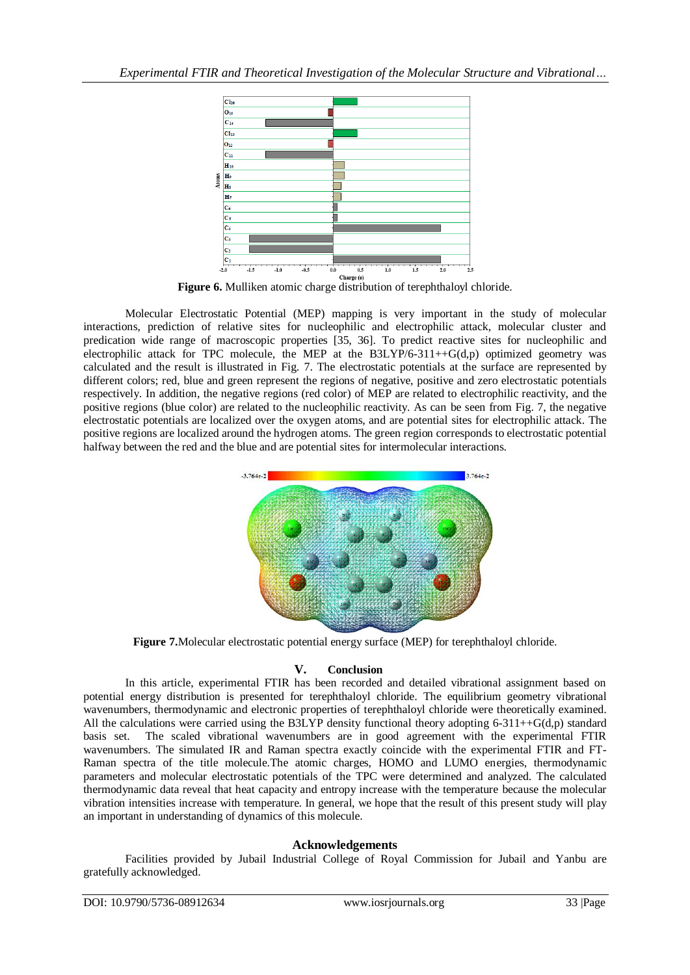

**Figure 6.** Mulliken atomic charge distribution of terephthaloyl chloride.

Molecular Electrostatic Potential (MEP) mapping is very important in the study of molecular interactions, prediction of relative sites for nucleophilic and electrophilic attack, molecular cluster and predication wide range of macroscopic properties [35, 36]. To predict reactive sites for nucleophilic and electrophilic attack for TPC molecule, the MEP at the  $B3LYP/6-311++G(d,p)$  optimized geometry was calculated and the result is illustrated in Fig. 7. The electrostatic potentials at the surface are represented by different colors; red, blue and green represent the regions of negative, positive and zero electrostatic potentials respectively. In addition, the negative regions (red color) of MEP are related to electrophilic reactivity, and the positive regions (blue color) are related to the nucleophilic reactivity. As can be seen from Fig. 7, the negative electrostatic potentials are localized over the oxygen atoms, and are potential sites for electrophilic attack. The positive regions are localized around the hydrogen atoms. The green region corresponds to electrostatic potential halfway between the red and the blue and are potential sites for intermolecular interactions.



**Figure 7.**Molecular electrostatic potential energy surface (MEP) for terephthaloyl chloride.

## **V. Conclusion**

In this article, experimental FTIR has been recorded and detailed vibrational assignment based on potential energy distribution is presented for terephthaloyl chloride. The equilibrium geometry vibrational wavenumbers, thermodynamic and electronic properties of terephthaloyl chloride were theoretically examined. All the calculations were carried using the B3LYP density functional theory adopting 6-311++G(d,p) standard basis set. The scaled vibrational wavenumbers are in good agreement with the experimental FTIR wavenumbers. The simulated IR and Raman spectra exactly coincide with the experimental FTIR and FT-Raman spectra of the title molecule.The atomic charges, HOMO and LUMO energies, thermodynamic parameters and molecular electrostatic potentials of the TPC were determined and analyzed. The calculated thermodynamic data reveal that heat capacity and entropy increase with the temperature because the molecular vibration intensities increase with temperature. In general, we hope that the result of this present study will play an important in understanding of dynamics of this molecule.

## **Acknowledgements**

Facilities provided by Jubail Industrial College of Royal Commission for Jubail and Yanbu are gratefully acknowledged.